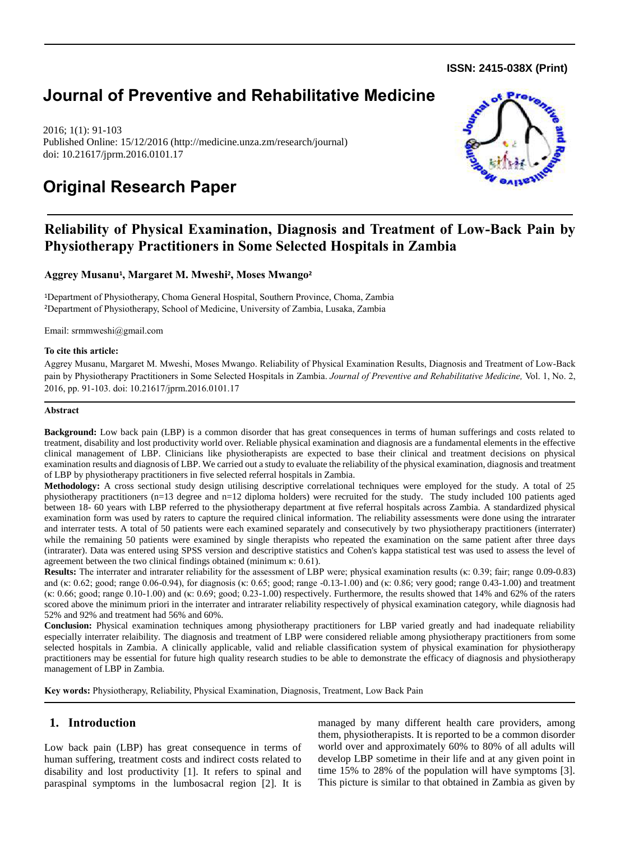**ISSN: 2415-038X (Print)** 

# **Journal of Preventive and Rehabilitative Medicine**

2016; 1(1): 91-103 Published Online: 15/12/2016 (http://medicine.unza.zm/research/journal) doi: 10.21617/jprm.2016.0101.17

# **Original Research Paper**



## **Reliability of Physical Examination, Diagnosis and Treatment of Low-Back Pain by Physiotherapy Practitioners in Some Selected Hospitals in Zambia**

**Aggrey Musanu<sup>1</sup> , Margaret M. Mweshi<sup>2</sup> , Moses Mwango<sup>2</sup>**

<sup>1</sup>Department of Physiotherapy, Choma General Hospital, Southern Province, Choma, Zambia <sup>2</sup>Department of Physiotherapy, School of Medicine, University of Zambia, Lusaka, Zambia

Email: [srmmweshi@gmail.com](mailto:srmmweshi@gmail.com)

## **To cite this article:**

Aggrey Musanu, Margaret M. Mweshi, Moses Mwango. Reliability of Physical Examination Results, Diagnosis and Treatment of Low-Back pain by Physiotherapy Practitioners in Some Selected Hospitals in Zambia. *Journal of Preventive and Rehabilitative Medicine,* Vol. 1, No. 2, 2016, pp. 91-103. doi: 10.21617/jprm.2016.0101.17

## **Abstract**

**Background:** Low back pain (LBP) is a common disorder that has great consequences in terms of human sufferings and costs related to treatment, disability and lost productivity world over. Reliable physical examination and diagnosis are a fundamental elements in the effective clinical management of LBP. Clinicians like physiotherapists are expected to base their clinical and treatment decisions on physical examination results and diagnosis of LBP. We carried out a study to evaluate the reliability of the physical examination, diagnosis and treatment of LBP by physiotherapy practitioners in five selected referral hospitals in Zambia.

**Methodology:** A cross sectional study design utilising descriptive correlational techniques were employed for the study. A total of 25 physiotherapy practitioners (n=13 degree and n=12 diploma holders) were recruited for the study. The study included 100 patients aged between 18- 60 years with LBP referred to the physiotherapy department at five referral hospitals across Zambia. A standardized physical examination form was used by raters to capture the required clinical information. The reliability assessments were done using the intrarater and interrater tests. A total of 50 patients were each examined separately and consecutively by two physiotherapy practitioners (interrater) while the remaining 50 patients were examined by single therapists who repeated the examination on the same patient after three days (intrarater). Data was entered using SPSS version and descriptive statistics and Cohen's kappa statistical test was used to assess the level of agreement between the two clinical findings obtained (minimum κ: 0.61).

**Results:** The interrater and intrarater reliability for the assessment of LBP were; physical examination results (κ: 0.39; fair; range 0.09-0.83) and (κ: 0.62; good; range 0.06-0.94), for diagnosis (κ: 0.65; good; range -0.13-1.00) and (κ: 0.86; very good; range 0.43-1.00) and treatment (κ: 0.66; good; range 0.10-1.00) and (κ: 0.69; good; 0.23-1.00) respectively. Furthermore, the results showed that 14% and 62% of the raters scored above the minimum priori in the interrater and intrarater reliability respectively of physical examination category, while diagnosis had 52% and 92% and treatment had 56% and 60%.

**Conclusion:** Physical examination techniques among physiotherapy practitioners for LBP varied greatly and had inadequate reliability especially interrater relaibility. The diagnosis and treatment of LBP were considered reliable among physiotherapy practitioners from some selected hospitals in Zambia. A clinically applicable, valid and reliable classification system of physical examination for physiotherapy practitioners may be essential for future high quality research studies to be able to demonstrate the efficacy of diagnosis and physiotherapy management of LBP in Zambia.

**Key words:** Physiotherapy, Reliability, Physical Examination, Diagnosis, Treatment, Low Back Pain

## **1. Introduction**

Low back pain (LBP) has great consequence in terms of human suffering, treatment costs and indirect costs related to disability and lost productivity [1]. It refers to spinal and paraspinal symptoms in the lumbosacral region [2]. It is managed by many different health care providers, among them, physiotherapists. It is reported to be a common disorder world over and approximately 60% to 80% of all adults will develop LBP sometime in their life and at any given point in time 15% to 28% of the population will have symptoms [3]. This picture is similar to that obtained in Zambia as given by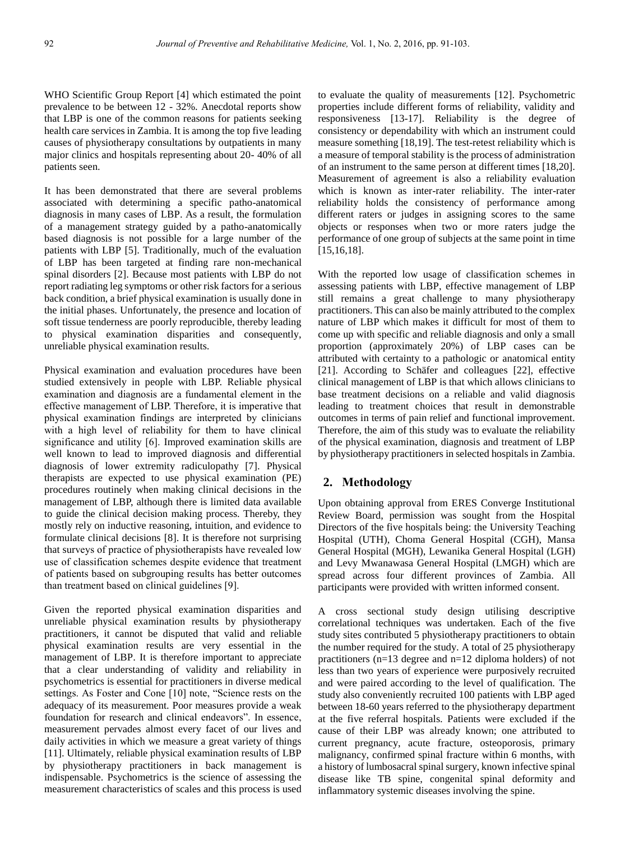WHO Scientific Group Report [4] which estimated the point prevalence to be between 12 - 32%. Anecdotal reports show that LBP is one of the common reasons for patients seeking health care services in Zambia. It is among the top five leading causes of physiotherapy consultations by outpatients in many major clinics and hospitals representing about 20- 40% of all patients seen.

It has been demonstrated that there are several problems associated with determining a specific patho-anatomical diagnosis in many cases of LBP. As a result, the formulation of a management strategy guided by a patho-anatomically based diagnosis is not possible for a large number of the patients with LBP [5]. Traditionally, much of the evaluation of LBP has been targeted at finding rare non-mechanical spinal disorders [2]. Because most patients with LBP do not report radiating leg symptoms or other risk factors for a serious back condition, a brief physical examination is usually done in the initial phases. Unfortunately, the presence and location of soft tissue tenderness are poorly reproducible, thereby leading to physical examination disparities and consequently, unreliable physical examination results.

Physical examination and evaluation procedures have been studied extensively in people with LBP. Reliable physical examination and diagnosis are a fundamental element in the effective management of LBP. Therefore, it is imperative that physical examination findings are interpreted by clinicians with a high level of reliability for them to have clinical significance and utility [6]. Improved examination skills are well known to lead to improved diagnosis and differential diagnosis of lower extremity radiculopathy [7]. Physical therapists are expected to use physical examination (PE) procedures routinely when making clinical decisions in the management of LBP, although there is limited data available to guide the clinical decision making process. Thereby, they mostly rely on inductive reasoning, intuition, and evidence to formulate clinical decisions [8]. It is therefore not surprising that surveys of practice of physiotherapists have revealed low use of classification schemes despite evidence that treatment of patients based on subgrouping results has better outcomes than treatment based on clinical guidelines [9].

Given the reported physical examination disparities and unreliable physical examination results by physiotherapy practitioners, it cannot be disputed that valid and reliable physical examination results are very essential in the management of LBP. It is therefore important to appreciate that a clear understanding of validity and reliability in psychometrics is essential for practitioners in diverse medical settings. As Foster and Cone [10] note, "Science rests on the adequacy of its measurement. Poor measures provide a weak foundation for research and clinical endeavors". In essence, measurement pervades almost every facet of our lives and daily activities in which we measure a great variety of things [11]. Ultimately, reliable physical examination results of LBP by physiotherapy practitioners in back management is indispensable. Psychometrics is the science of assessing the measurement characteristics of scales and this process is used to evaluate the quality of measurements [12]. Psychometric properties include different forms of reliability, validity and responsiveness [13-17]. Reliability is the degree of consistency or dependability with which an instrument could measure something [18,19]. The test-retest reliability which is a measure of temporal stability is the process of administration of an instrument to the same person at different times [18,20]. Measurement of agreement is also a reliability evaluation which is known as inter-rater reliability. The inter-rater reliability holds the consistency of performance among different raters or judges in assigning scores to the same objects or responses when two or more raters judge the performance of one group of subjects at the same point in time [15,16,18].

With the reported low usage of classification schemes in assessing patients with LBP, effective management of LBP still remains a great challenge to many physiotherapy practitioners. This can also be mainly attributed to the complex nature of LBP which makes it difficult for most of them to come up with specific and reliable diagnosis and only a small proportion (approximately 20%) of LBP cases can be attributed with certainty to a pathologic or anatomical entity [21]. According to Schäfer and colleagues [22], effective clinical management of LBP is that which allows clinicians to base treatment decisions on a reliable and valid diagnosis leading to treatment choices that result in demonstrable outcomes in terms of pain relief and functional improvement. Therefore, the aim of this study was to evaluate the reliability of the physical examination, diagnosis and treatment of LBP by physiotherapy practitioners in selected hospitals in Zambia.

## **2. Methodology**

Upon obtaining approval from ERES Converge Institutional Review Board, permission was sought from the Hospital Directors of the five hospitals being: the University Teaching Hospital (UTH), Choma General Hospital (CGH), Mansa General Hospital (MGH), Lewanika General Hospital (LGH) and Levy Mwanawasa General Hospital (LMGH) which are spread across four different provinces of Zambia. All participants were provided with written informed consent.

A cross sectional study design utilising descriptive correlational techniques was undertaken. Each of the five study sites contributed 5 physiotherapy practitioners to obtain the number required for the study. A total of 25 physiotherapy practitioners (n=13 degree and n=12 diploma holders) of not less than two years of experience were purposively recruited and were paired according to the level of qualification. The study also conveniently recruited 100 patients with LBP aged between 18-60 years referred to the physiotherapy department at the five referral hospitals. Patients were excluded if the cause of their LBP was already known; one attributed to current pregnancy, acute fracture, osteoporosis, primary malignancy, confirmed spinal fracture within 6 months, with a history of lumbosacral spinal surgery, known infective spinal disease like TB spine, congenital spinal deformity and inflammatory systemic diseases involving the spine.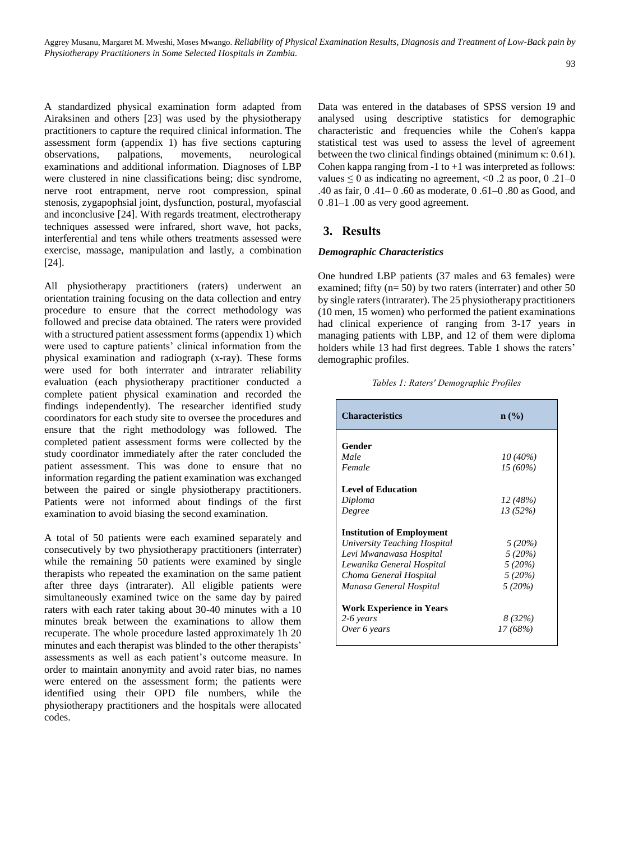A standardized physical examination form adapted from Airaksinen and others [23] was used by the physiotherapy practitioners to capture the required clinical information. The assessment form (appendix 1) has five sections capturing observations, palpations, movements, neurological examinations and additional information. Diagnoses of LBP were clustered in nine classifications being; disc syndrome, nerve root entrapment, nerve root compression, spinal stenosis, zygapophsial joint, dysfunction, postural, myofascial and inconclusive [24]. With regards treatment, electrotherapy techniques assessed were infrared, short wave, hot packs, interferential and tens while others treatments assessed were exercise, massage, manipulation and lastly, a combination [24].

All physiotherapy practitioners (raters) underwent an orientation training focusing on the data collection and entry procedure to ensure that the correct methodology was followed and precise data obtained. The raters were provided with a structured patient assessment forms (appendix 1) which were used to capture patients' clinical information from the physical examination and radiograph (x-ray). These forms were used for both interrater and intrarater reliability evaluation (each physiotherapy practitioner conducted a complete patient physical examination and recorded the findings independently). The researcher identified study coordinators for each study site to oversee the procedures and ensure that the right methodology was followed. The completed patient assessment forms were collected by the study coordinator immediately after the rater concluded the patient assessment. This was done to ensure that no information regarding the patient examination was exchanged between the paired or single physiotherapy practitioners. Patients were not informed about findings of the first examination to avoid biasing the second examination.

A total of 50 patients were each examined separately and consecutively by two physiotherapy practitioners (interrater) while the remaining 50 patients were examined by single therapists who repeated the examination on the same patient after three days (intrarater). All eligible patients were simultaneously examined twice on the same day by paired raters with each rater taking about 30-40 minutes with a 10 minutes break between the examinations to allow them recuperate. The whole procedure lasted approximately 1h 20 minutes and each therapist was blinded to the other therapists' assessments as well as each patient's outcome measure. In order to maintain anonymity and avoid rater bias, no names were entered on the assessment form; the patients were identified using their OPD file numbers, while the physiotherapy practitioners and the hospitals were allocated codes.

Data was entered in the databases of SPSS version 19 and analysed using descriptive statistics for demographic characteristic and frequencies while the Cohen's kappa statistical test was used to assess the level of agreement between the two clinical findings obtained (minimum  $\kappa$ : 0.61). Cohen kappa ranging from  $-1$  to  $+1$  was interpreted as follows: values  $\leq 0$  as indicating no agreement,  $\leq 0.2$  as poor, 0.21–0 .40 as fair, 0 .41– 0 .60 as moderate, 0 .61–0 .80 as Good, and 0 .81–1 .00 as very good agreement.

## **3. Results**

## *Demographic Characteristics*

One hundred LBP patients (37 males and 63 females) were examined; fifty  $(n= 50)$  by two raters (interrater) and other 50 by single raters (intrarater). The 25 physiotherapy practitioners (10 men, 15 women) who performed the patient examinations had clinical experience of ranging from 3-17 years in managing patients with LBP, and 12 of them were diploma holders while 13 had first degrees. Table 1 shows the raters' demographic profiles.

| <b>Characteristics</b>           | $n\ (\%)$  |
|----------------------------------|------------|
| Gender                           |            |
| Male                             | $10(40\%)$ |
| Female                           | $15(60\%)$ |
| <b>Level of Education</b>        |            |
| Diploma                          | 12 (48%)   |
| Degree                           | 13(52%)    |
| <b>Institution of Employment</b> |            |
| University Teaching Hospital     | $5(20\%)$  |
| Levi Mwanawasa Hospital          | 5(20%)     |
| Lewanika General Hospital        | 5(20%)     |
| Choma General Hospital           | 5(20%)     |
| Manasa General Hospital          | 5(20%)     |
| <b>Work Experience in Years</b>  |            |
| 2-6 years                        | 8 (32%)    |
| Over 6 years                     | 17 (68%)   |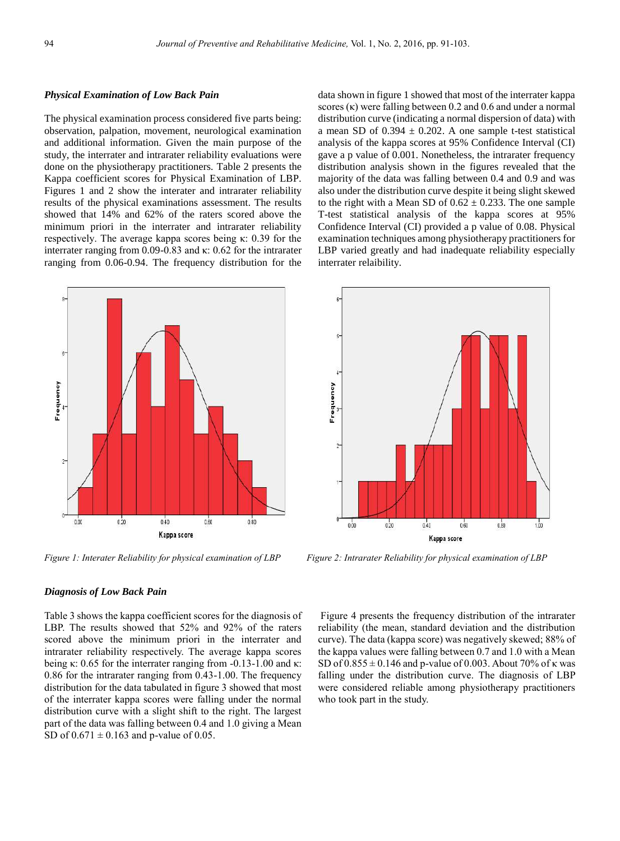## *Physical Examination of Low Back Pain*

The physical examination process considered five parts being: observation, palpation, movement, neurological examination and additional information. Given the main purpose of the study, the interrater and intrarater reliability evaluations were done on the physiotherapy practitioners. Table 2 presents the Kappa coefficient scores for Physical Examination of LBP. Figures 1 and 2 show the interater and intrarater reliability results of the physical examinations assessment. The results showed that 14% and 62% of the raters scored above the minimum priori in the interrater and intrarater reliability respectively. The average kappa scores being κ: 0.39 for the interrater ranging from 0.09-0.83 and κ: 0.62 for the intrarater ranging from 0.06-0.94. The frequency distribution for the



*Figure 1: Interater Reliability for physical examination of LBP* Figure 2: Intrarater Reliability for physical examination of LBP

data shown in figure 1 showed that most of the interrater kappa scores  $(\kappa)$  were falling between 0.2 and 0.6 and under a normal distribution curve (indicating a normal dispersion of data) with a mean SD of  $0.394 \pm 0.202$ . A one sample t-test statistical analysis of the kappa scores at 95% Confidence Interval (CI) gave a p value of 0.001. Nonetheless, the intrarater frequency distribution analysis shown in the figures revealed that the majority of the data was falling between 0.4 and 0.9 and was also under the distribution curve despite it being slight skewed to the right with a Mean SD of  $0.62 \pm 0.233$ . The one sample T-test statistical analysis of the kappa scores at 95% Confidence Interval (CI) provided a p value of 0.08. Physical examination techniques among physiotherapy practitioners for LBP varied greatly and had inadequate reliability especially interrater relaibility.



## *Diagnosis of Low Back Pain*

Table 3 shows the kappa coefficient scores for the diagnosis of LBP. The results showed that 52% and 92% of the raters scored above the minimum priori in the interrater and intrarater reliability respectively. The average kappa scores being κ: 0.65 for the interrater ranging from  $-0.13-1.00$  and κ: 0.86 for the intrarater ranging from 0.43-1.00. The frequency distribution for the data tabulated in figure 3 showed that most of the interrater kappa scores were falling under the normal distribution curve with a slight shift to the right. The largest part of the data was falling between 0.4 and 1.0 giving a Mean SD of  $0.671 \pm 0.163$  and p-value of 0.05.

Figure 4 presents the frequency distribution of the intrarater reliability (the mean, standard deviation and the distribution curve). The data (kappa score) was negatively skewed; 88% of the kappa values were falling between 0.7 and 1.0 with a Mean SD of  $0.855 \pm 0.146$  and p-value of 0.003. About 70% of  $\kappa$  was falling under the distribution curve. The diagnosis of LBP were considered reliable among physiotherapy practitioners who took part in the study.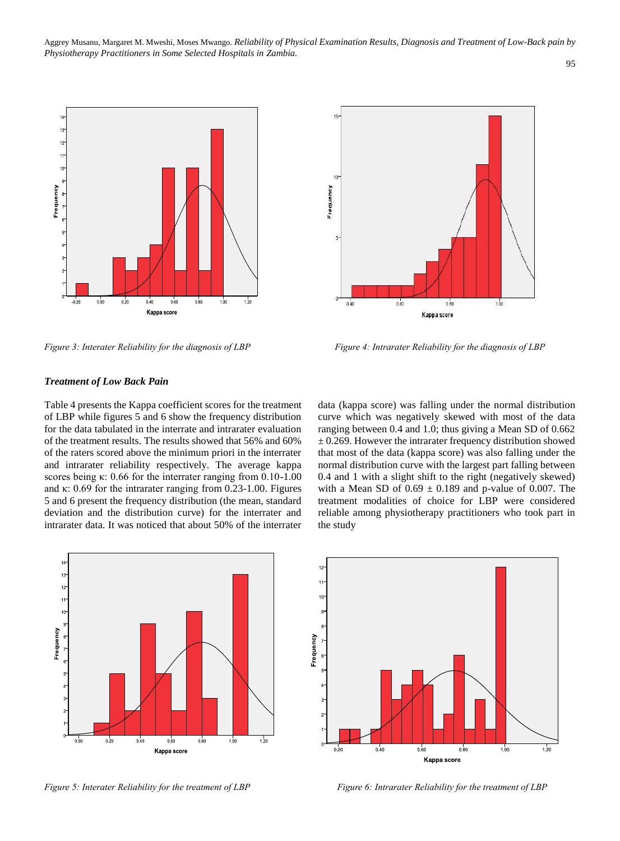

## *Treatment of Low Back Pain*

Table 4 presents the Kappa coefficient scores for the treatment of LBP while figures 5 and 6 show the frequency distribution for the data tabulated in the interrate and intrarater evaluation of the treatment results. The results showed that 56% and 60% of the raters scored above the minimum priori in the interrater and intrarater reliability respectively. The average kappa scores being κ: 0.66 for the interrater ranging from 0.10-1.00 and κ: 0.69 for the intrarater ranging from 0.23-1.00. Figures 5 and 6 present the frequency distribution (the mean, standard deviation and the distribution curve) for the interrater and intrarater data. It was noticed that about 50% of the interrater







*Figure 3: Interater Reliability for the diagnosis of LBP Figure 4: Intrarater Reliability for the diagnosis of LBP* 

data (kappa score) was falling under the normal distribution curve which was negatively skewed with most of the data ranging between 0.4 and 1.0; thus giving a Mean SD of 0.662  $\pm$  0.269. However the intrarater frequency distribution showed that most of the data (kappa score) was also falling under the normal distribution curve with the largest part falling between 0.4 and 1 with a slight shift to the right (negatively skewed) with a Mean SD of  $0.69 \pm 0.189$  and p-value of 0.007. The treatment modalities of choice for LBP were considered reliable among physiotherapy practitioners who took part in the study

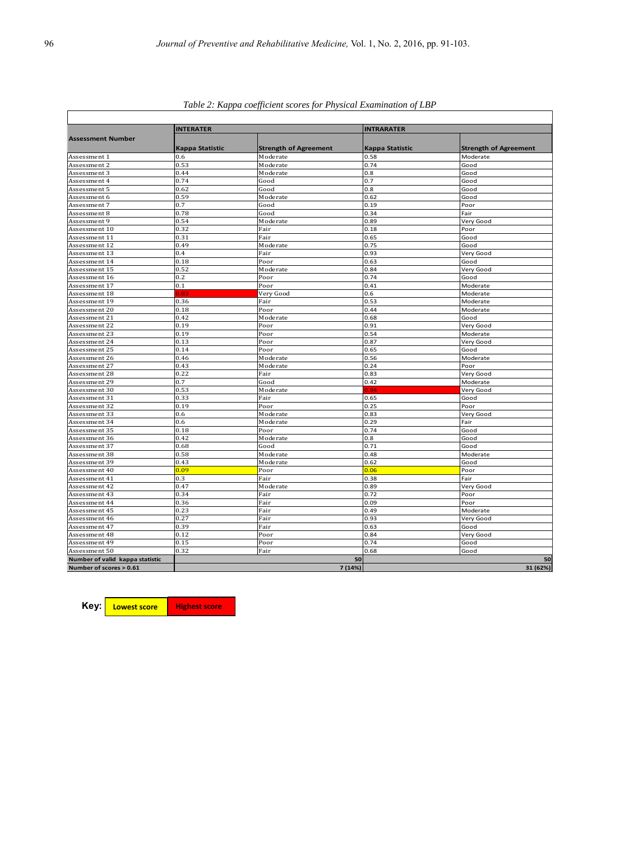| Assessment Number               | <b>INTERATER</b> |                              | <b>INTRARATER</b> |                              |  |  |
|---------------------------------|------------------|------------------------------|-------------------|------------------------------|--|--|
|                                 | Kappa Statistic  | <b>Strength of Agreement</b> | Kappa Statistic   | <b>Strength of Agreement</b> |  |  |
| Assessment 1                    | 0.6              | Moderate                     | 0.58              | Moderate                     |  |  |
| Assessment 2                    | 0.53             | Moderate                     | 0.74              | Good                         |  |  |
| Assessment 3                    | 0.44             | Moderate                     | 0.8               | Good                         |  |  |
| Assessment 4                    | 0.74             | Good                         | 0.7               | Good                         |  |  |
| Assessment 5                    | 0.62             | Good                         | 0.8               | Good                         |  |  |
| Assessment 6                    | 0.59             | Moderate                     | 0.62              | Good                         |  |  |
| Assessment 7                    | 0.7              | Good                         | 0.19              | Poor                         |  |  |
| Assessment 8                    | 0.78             | Good                         | 0.34              | Fair                         |  |  |
| Assessment 9                    | 0.54             | Moderate                     | 0.89              | Very Good                    |  |  |
| Assessment 10                   | 0.32             | Fair                         | 0.18              | Poor                         |  |  |
| Assessment 11                   | 0.31             | Fair                         | 0.65              | Good                         |  |  |
| Assessment 12                   | 0.49             | Moderate                     | 0.75              | Good                         |  |  |
| Assessment 13                   | 0.4              | Fair                         | 0.93              | Very Good                    |  |  |
| Assessment 14                   | 0.18             | Poor                         | 0.63              | Good                         |  |  |
| Assessment 15                   | 0.52             | Moderate                     | 0.84              | Very Good                    |  |  |
| Assessment 16                   | 0.2              | Poor                         | 0.74              | Good                         |  |  |
| Assessment 17                   | 0.1              | Poor                         | 0.41              | Moderate                     |  |  |
| Assessment 18                   | 0.83             | Very Good                    | 0.6               | Moderate                     |  |  |
| Assessment 19                   | 0.36             | Fair                         | 0.53              | Moderate                     |  |  |
| Assessment 20                   | 0.18             | Poor                         | 0.44              | Moderate                     |  |  |
| Assessment 21                   | 0.42             | Moderate                     | 0.68              | Good                         |  |  |
| Assessment 22                   | 0.19             | Poor                         | 0.91              | Very Good                    |  |  |
| Assessment 23                   | 0.19             | Poor                         | 0.54              | Moderate                     |  |  |
| Assessment 24                   | 0.13             | Poor                         | 0.87              | Very Good                    |  |  |
| Assessment 25                   | 0.14             | Poor                         | 0.65              | Good                         |  |  |
| Assessment 26                   | 0.46             | Moderate                     | 0.56              | Moderate                     |  |  |
| Assessment 27                   | 0.43             | Moderate                     | 0.24              | Poor                         |  |  |
| Assessment 28                   | 0.22             | Fair                         | 0.83              | Very Good                    |  |  |
| Assessment 29                   | 0.7              | Good                         | 0.42              | Moderate                     |  |  |
| Assessment 30                   | 0.53             | Moderate                     | 0.94              | Very Good                    |  |  |
| Assessment 31                   | 0.33             | Fair                         | 0.65              | Good                         |  |  |
| Assessment 32                   | 0.19             | Poor                         | 0.25              | Poor                         |  |  |
| Assessment 33                   | 0.6              | Moderate                     | 0.83              | Very Good                    |  |  |
| Assessment 34                   | 0.6              | Moderate                     | 0.29              | Fair                         |  |  |
| Assessment 35                   | 0.18             | Poor                         | 0.74              | Good                         |  |  |
| Assessment 36                   | 0.42             | Moderate                     | 0.8               | Good                         |  |  |
| Assessment 37                   | 0.68             | Good                         | 0.71              | Good                         |  |  |
| Assessment 38                   | 0.58             | Moderate                     | 0.48              | Moderate                     |  |  |
| Assessment 39                   | 0.43             | Moderate                     | 0.62              | Good                         |  |  |
| Assessment 40                   | 0.09             | Poor                         | 0.06              | Poor                         |  |  |
| Assessment 41                   | 0.3              | Fair                         | 0.38              | Fair                         |  |  |
| Assessment 42                   | 0.47             | Moderate                     | 0.89              | Very Good                    |  |  |
| Assessment 43                   | 0.34             | Fair                         | 0.72              | Poor                         |  |  |
| Assessment 44                   | 0.36             | Fair                         | 0.09              | Poor                         |  |  |
| Assessment 45                   | 0.23             | Fair                         | 0.49              | Moderate                     |  |  |
| Assessment 46                   | 0.27             | Fair                         | 0.93              | Very Good                    |  |  |
| Assessment 47                   | 0.39             | Fair                         | 0.63              | Good                         |  |  |
| Assessment 48                   | 0.12             | Poor                         | 0.84              | Very Good                    |  |  |
| Assessment 49                   | 0.15             | Poor                         | 0.74              | Good                         |  |  |
| Assessment 50                   | 0.32             | Fair                         | 0.68              | Good                         |  |  |
| Number of valid kappa statistic |                  |                              | 50                | 50                           |  |  |
| Number of scores > 0.61         |                  |                              | 7 (14%)           | 31 (62%)                     |  |  |

*Table 2: Kappa coefficient scores for Physical Examination of LBP*

**Key:** 

**Lowest score Highest score**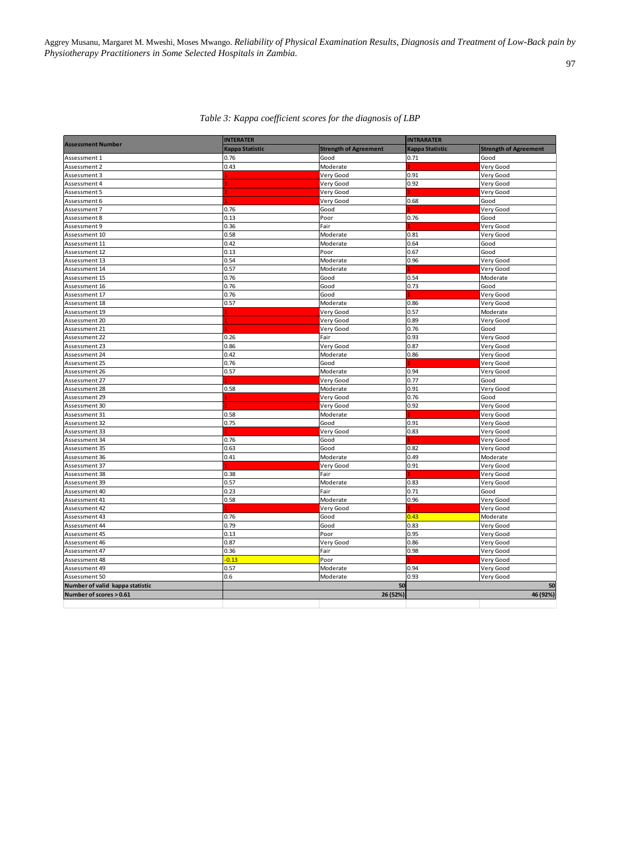Aggrey Musanu, Margaret M. Mweshi, Moses Mwango. *Reliability of Physical Examination Results, Diagnosis and Treatment of Low-Back pain by Physiotherapy Practitioners in Some Selected Hospitals in Zambia.*

|                                 | <b>INTERATER</b> | <b>INTRARATER</b>            |                 |                              |
|---------------------------------|------------------|------------------------------|-----------------|------------------------------|
| <b>Assessment Number</b>        | Kappa Statistic  | <b>Strength of Agreement</b> | Kappa Statistic | <b>Strength of Agreement</b> |
| Assessment 1                    | 0.76             | Good                         | 0.71            | Good                         |
| Assessment 2                    | 0.43             | Moderate                     |                 | Very Good                    |
| Assessment 3                    |                  | Very Good                    | 0.91            | Very Good                    |
| Assessment 4                    |                  | Very Good                    | 0.92            | Very Good                    |
| Assessment 5                    |                  | Very Good                    |                 | Very Good                    |
| Assessment 6                    |                  | Very Good                    | 0.68            | Good                         |
| Assessment 7                    | 0.76             | Good                         |                 | Very Good                    |
| Assessment 8                    | 0.13             | Poor                         | 0.76            | Good                         |
| Assessment 9                    | 0.36             | Fair                         |                 | Very Good                    |
| Assessment 10                   | 0.58             | Moderate                     | 0.81            | Very Good                    |
| Assessment 11                   | 0.42             | Moderate                     | 0.64            | Good                         |
| Assessment 12                   | 0.13             | Poor                         | 0.67            | Good                         |
| Assessment 13                   | 0.54             | Moderate                     | 0.96            | Very Good                    |
| Assessment 14                   | 0.57             | Moderate                     |                 | Very Good                    |
| Assessment 15                   | 0.76             | Good                         | 0.54            | Moderate                     |
| Assessment 16                   | 0.76             | Good                         | 0.73            | Good                         |
| Assessment 17                   | 0.76             | Good                         |                 | Very Good                    |
| Assessment 18                   | 0.57             | Moderate                     | 0.86            | Very Good                    |
| Assessment 19                   |                  | Very Good                    | 0.57            | Moderate                     |
| Assessment 20                   |                  | Very Good                    | 0.89            | Very Good                    |
| Assessment 21                   |                  | Very Good                    | 0.76            | Good                         |
| Assessment 22                   | 0.26             | Fair                         | 0.93            | Very Good                    |
| Assessment 23                   | 0.86             | Very Good                    | 0.87            | Very Good                    |
| Assessment 24                   | 0.42             | Moderate                     | 0.86            | Very Good                    |
| Assessment 25                   | 0.76             | Good                         |                 | Very Good                    |
| Assessment 26                   | 0.57             | Moderate                     | 0.94            | Very Good                    |
| Assessment 27                   |                  | Very Good                    | 0.77            | Good                         |
| Assessment 28                   | 0.58             | Moderate                     | 0.91            | Very Good                    |
| Assessment 29                   |                  | Very Good                    | 0.76            | Good                         |
| Assessment 30                   |                  | Very Good                    | 0.92            | Very Good                    |
| Assessment 31                   | 0.58             | Moderate                     |                 | Very Good                    |
| Assessment 32                   | 0.75             | Good                         | 0.91            | Very Good                    |
| Assessment 33                   |                  | Very Good                    | 0.83            | Very Good                    |
| Assessment 34                   | 0.76             | Good                         |                 | Very Good                    |
| Assessment 35                   | 0.63             | Good                         | 0.82            | Very Good                    |
| Assessment 36                   | 0.41             | Moderate                     | 0.49            | Moderate                     |
| Assessment 37                   |                  | Very Good                    | 0.91            | Very Good                    |
| Assessment 38                   | 0.38             | Fair                         |                 | Very Good                    |
| Assessment 39                   | 0.57             | Moderate                     | 0.83            | Very Good                    |
| Assessment 40                   | 0.23             | Fair                         | 0.71            | Good                         |
| Assessment 41                   | 0.58             | Moderate                     | 0.96            | Very Good                    |
| Assessment 42                   |                  | Very Good                    |                 | Very Good                    |
| Assessment 43                   | 0.76             | Good                         | 0.43            | Moderate                     |
| Assessment 44                   | 0.79             | Good                         | 0.83            | Very Good                    |
| Assessment 45                   | 0.13             | Poor                         | 0.95            | Very Good                    |
| Assessment 46                   | 0.87             | Very Good                    | 0.86            | Very Good                    |
| Assessment 47                   | 0.36             | Fair                         | 0.98            | Very Good                    |
| Assessment 48                   | $-0.13$          | Poor                         |                 | Very Good                    |
| Assessment 49                   | 0.57             | Moderate                     | 0.94            | Very Good                    |
| Assessment 50                   | 0.6              | Moderate                     | 0.93            | Very Good                    |
| Number of valid kappa statistic |                  | 50                           |                 | 50                           |
| Number of scores > 0.61         |                  | 26 (52%)                     |                 | 46 (92%)                     |
|                                 |                  |                              |                 |                              |

## *Table 3: Kappa coefficient scores for the diagnosis of LBP*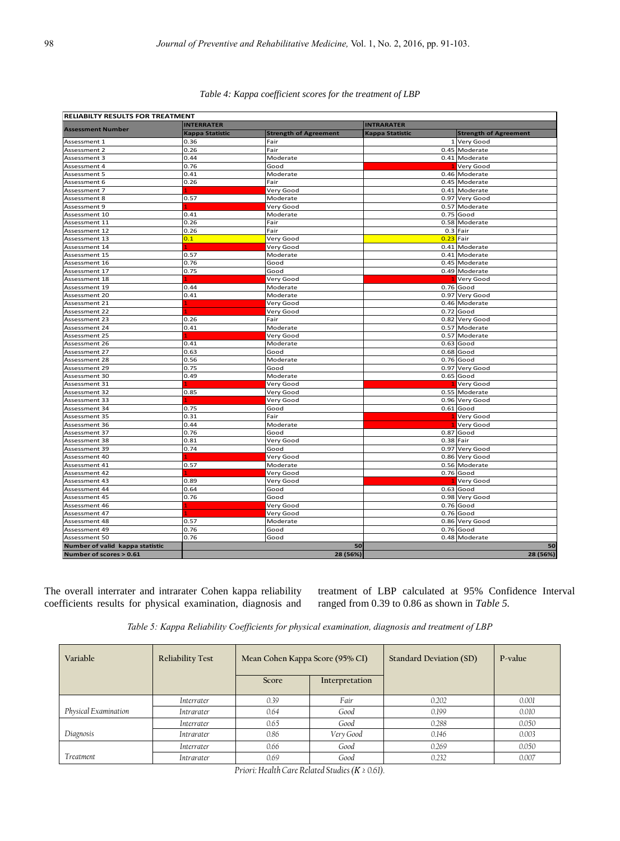| <b>RELIABILTY RESULTS FOR TREATMENT</b> |                        |                              |                        |                              |  |
|-----------------------------------------|------------------------|------------------------------|------------------------|------------------------------|--|
| <b>Assessment Number</b>                | <b>INTERRATER</b>      |                              | <b>INTRARATER</b>      |                              |  |
|                                         | <b>Kappa Statistic</b> | <b>Strength of Agreement</b> | <b>Kappa Statistic</b> | <b>Strength of Agreement</b> |  |
| Assessment 1                            | 0.36                   | Fair                         |                        | 1 Very Good                  |  |
| Assessment 2                            | 0.26                   | Fair                         |                        | 0.45 Moderate                |  |
| Assessment 3                            | 0.44                   | Moderate                     |                        | 0.41 Moderate                |  |
| Assessment 4                            | 0.76                   | Good                         |                        | Very Good                    |  |
| Assessment 5                            | 0.41                   | Moderate                     |                        | 0.46 Moderate                |  |
| Assessment 6                            | 0.26                   | Fair                         |                        | 0.45 Moderate                |  |
| Assessment 7                            |                        | Very Good                    |                        | 0.41 Moderate                |  |
| Assessment 8                            | 0.57                   | Moderate                     | 0.97                   | Very Good                    |  |
| Assessment 9                            |                        | Very Good                    | 0.57                   | Moderate                     |  |
| Assessment 10                           | 0.41                   | Moderate                     | 0.75                   | Good                         |  |
| Assessment 11                           | 0.26                   | Fair                         | 0.58                   | Moderate                     |  |
| Assessment 12                           | 0.26                   | Fair                         | 0.3                    | Fair                         |  |
| Assessment 13                           | 0.1                    | Very Good                    | 0.23                   | Fair                         |  |
| Assessment 14                           |                        | Very Good                    | 0.41                   | Moderate                     |  |
| Assessment 15                           | 0.57                   | Moderate                     | 0.41                   | Moderate                     |  |
| Assessment 16                           | 0.76                   | Good                         |                        | 0.45 Moderate                |  |
| Assessment 17                           | 0.75                   | Good                         |                        | 0.49 Moderate                |  |
| Assessment 18                           |                        | Very Good                    |                        | Very Good                    |  |
| Assessment 19                           | 0.44                   | Moderate                     |                        | 0.76 Good                    |  |
| Assessment 20                           | 0.41                   | Moderate                     | 0.97                   | Very Good                    |  |
| Assessment 21                           |                        | Very Good                    |                        | 0.46 Moderate                |  |
| Assessment 22                           |                        | Very Good                    | 0.72                   | Good                         |  |
| Assessment 23                           | 0.26                   | Fair                         | 0.82                   | Very Good                    |  |
| Assessment 24                           | 0.41                   | Moderate                     |                        | 0.57 Moderate                |  |
| Assessment 25                           |                        | Very Good                    | 0.57                   | Moderate                     |  |
| Assessment 26                           | 0.41                   | Moderate                     | 0.63                   | Good                         |  |
| Assessment 27                           | 0.63                   | Good                         |                        | $0.68$ Good                  |  |
| Assessment 28                           | 0.56                   | Moderate                     |                        | $0.76$ Good                  |  |
| Assessment 29                           | 0.75                   | Good                         | 0.97                   | Very Good                    |  |
| Assessment 30                           | 0.49                   | Moderate                     |                        | $0.65$ Good                  |  |
| Assessment 31                           |                        | Very Good                    |                        | Very Good                    |  |
| Assessment 32                           | 0.85                   | Very Good                    |                        | 0.55 Moderate                |  |
| Assessment 33                           |                        | Very Good                    |                        | 0.96 Very Good               |  |
| Assessment 34                           | 0.75                   | Good                         | 0.61                   | Good                         |  |
| Assessment 35                           | 0.31                   | Fair                         |                        | Very Good                    |  |
| Assessment 36                           | 0.44                   | Moderate                     |                        | Very Good                    |  |
| Assessment 37                           | 0.76                   | Good                         | 0.87                   | Good                         |  |
| Assessment 38                           | 0.81                   | Very Good                    |                        | 0.38 Fair                    |  |
| Assessment 39                           | 0.74                   | Good                         | 0.97                   | Very Good                    |  |
| Assessment 40                           |                        | Very Good                    |                        | 0.86 Very Good               |  |
| Assessment 41                           | 0.57                   | Moderate                     |                        | 0.56 Moderate                |  |
| Assessment 42                           |                        | Very Good                    |                        | $0.76$ Good                  |  |
| Assessment 43                           | 0.89                   | Very Good                    |                        | Very Good                    |  |
| Assessment 44                           | 0.64                   | Good                         |                        | $0.63$ Good                  |  |
| Assessment 45                           | 0.76                   | Good                         |                        | 0.98 Very Good               |  |
| Assessment 46                           |                        | Very Good                    |                        | $0.76$ Good                  |  |
| Assessment 47                           |                        | Very Good                    |                        | 0.76 Good                    |  |
| Assessment 48                           | 0.57                   | Moderate                     | 0.86                   | Very Good                    |  |
| Assessment 49                           | 0.76                   | Good                         |                        | $0.76$ Good                  |  |
| Assessment 50                           | 0.76                   | Good                         |                        | 0.48 Moderate                |  |
| Number of valid kappa statistic         |                        |                              | 50                     | 50                           |  |
| Number of scores > 0.61                 |                        | 28 (56%)                     |                        | 28 (56%)                     |  |

## *Table 4: Kappa coefficient scores for the treatment of LBP*

The overall interrater and intrarater Cohen kappa reliability coefficients results for physical examination, diagnosis and

treatment of LBP calculated at 95% Confidence Interval ranged from 0.39 to 0.86 as shown in *Table 5.*

| Table 5: Kappa Reliability Coefficients for physical examination, diagnosis and treatment of LBP |  |  |  |  |  |  |
|--------------------------------------------------------------------------------------------------|--|--|--|--|--|--|
|--------------------------------------------------------------------------------------------------|--|--|--|--|--|--|

| Variable             | <b>Reliability Test</b> | Mean Cohen Kappa Score (95% CI) |                | <b>Standard Deviation (SD)</b> | P-value |
|----------------------|-------------------------|---------------------------------|----------------|--------------------------------|---------|
|                      |                         | Score                           | Interpretation |                                |         |
|                      | Interrater              | 0.39                            | Fair           | 0.202                          | 0.001   |
| Physical Examination | <i>Intrarater</i>       | 0.64                            | Good           | 0.199                          | 0.010   |
|                      | Interrater              | 0.65                            | Good           | 0.288                          | 0.050   |
| Diagnosis            | <i>Intrarater</i>       | 0.86                            | Very Good      | 0.146                          | 0.003   |
|                      | Interrater              | 0.66                            | Good           | 0.269                          | 0.050   |
| Treatment            | <i>Intrarater</i>       | 0.69                            | Good           | 0.232                          | 0.007   |

*Priori: Health Care Related Studies (Κ ≥ 0.61).*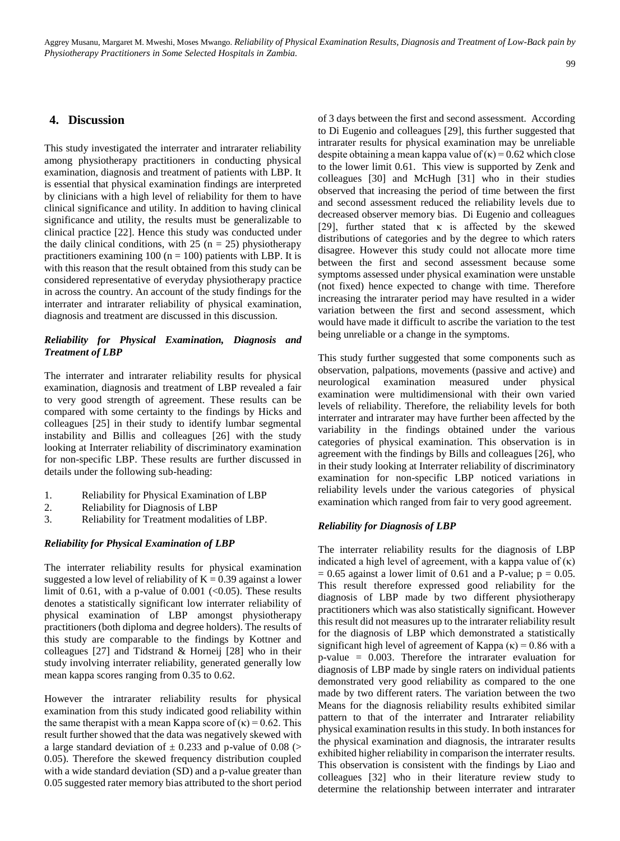#### 99

## **4. Discussion**

This study investigated the interrater and intrarater reliability among physiotherapy practitioners in conducting physical examination, diagnosis and treatment of patients with LBP. It is essential that physical examination findings are interpreted by clinicians with a high level of reliability for them to have clinical significance and utility. In addition to having clinical significance and utility, the results must be generalizable to clinical practice [22]. Hence this study was conducted under the daily clinical conditions, with 25 ( $n = 25$ ) physiotherapy practitioners examining 100 ( $n = 100$ ) patients with LBP. It is with this reason that the result obtained from this study can be considered representative of everyday physiotherapy practice in across the country. An account of the study findings for the interrater and intrarater reliability of physical examination, diagnosis and treatment are discussed in this discussion.

## *Reliability for Physical Examination, Diagnosis and Treatment of LBP*

The interrater and intrarater reliability results for physical examination, diagnosis and treatment of LBP revealed a fair to very good strength of agreement. These results can be compared with some certainty to the findings by Hicks and colleagues [25] in their study to identify lumbar segmental instability and Billis and colleagues [26] with the study looking at Interrater reliability of discriminatory examination for non-specific LBP. These results are further discussed in details under the following sub-heading:

- 1. Reliability for Physical Examination of LBP
- 2. Reliability for Diagnosis of LBP
- 3. Reliability for Treatment modalities of LBP.

## *Reliability for Physical Examination of LBP*

The interrater reliability results for physical examination suggested a low level of reliability of  $K = 0.39$  against a lower limit of 0.61, with a p-value of 0.001  $\langle 0.05 \rangle$ . These results denotes a statistically significant low interrater reliability of physical examination of LBP amongst physiotherapy practitioners (both diploma and degree holders). The results of this study are comparable to the findings by Kottner and colleagues [27] and Tidstrand & Horneij [28] who in their study involving interrater reliability, generated generally low mean kappa scores ranging from 0.35 to 0.62.

However the intrarater reliability results for physical examination from this study indicated good reliability within the same therapist with a mean Kappa score of  $(\kappa) = 0.62$ . This result further showed that the data was negatively skewed with a large standard deviation of  $\pm$  0.233 and p-value of 0.08 (> 0.05). Therefore the skewed frequency distribution coupled with a wide standard deviation (SD) and a p-value greater than 0.05 suggested rater memory bias attributed to the short period of 3 days between the first and second assessment. According to Di Eugenio and colleagues [29], this further suggested that intrarater results for physical examination may be unreliable despite obtaining a mean kappa value of  $(\kappa) = 0.62$  which close to the lower limit 0.61. This view is supported by Zenk and colleagues [30] and McHugh [31] who in their studies observed that increasing the period of time between the first and second assessment reduced the reliability levels due to decreased observer memory bias. Di Eugenio and colleagues [29], further stated that  $\kappa$  is affected by the skewed distributions of categories and by the degree to which raters disagree. However this study could not allocate more time between the first and second assessment because some symptoms assessed under physical examination were unstable (not fixed) hence expected to change with time. Therefore increasing the intrarater period may have resulted in a wider variation between the first and second assessment, which would have made it difficult to ascribe the variation to the test being unreliable or a change in the symptoms.

This study further suggested that some components such as observation, palpations, movements (passive and active) and neurological examination measured under physical examination were multidimensional with their own varied levels of reliability. Therefore, the reliability levels for both interrater and intrarater may have further been affected by the variability in the findings obtained under the various categories of physical examination. This observation is in agreement with the findings by Bills and colleagues [26], who in their study looking at Interrater reliability of discriminatory examination for non-specific LBP noticed variations in reliability levels under the various categories of physical examination which ranged from fair to very good agreement.

#### *Reliability for Diagnosis of LBP*

The interrater reliability results for the diagnosis of LBP indicated a high level of agreement, with a kappa value of  $(\kappa)$  $= 0.65$  against a lower limit of 0.61 and a P-value;  $p = 0.05$ . This result therefore expressed good reliability for the diagnosis of LBP made by two different physiotherapy practitioners which was also statistically significant. However this result did not measures up to the intrarater reliability result for the diagnosis of LBP which demonstrated a statistically significant high level of agreement of Kappa  $(\kappa) = 0.86$  with a p-value = 0.003. Therefore the intrarater evaluation for diagnosis of LBP made by single raters on individual patients demonstrated very good reliability as compared to the one made by two different raters. The variation between the two Means for the diagnosis reliability results exhibited similar pattern to that of the interrater and Intrarater reliability physical examination results in this study. In both instances for the physical examination and diagnosis, the intrarater results exhibited higher reliability in comparison the interrater results. This observation is consistent with the findings by Liao and colleagues [32] who in their literature review study to determine the relationship between interrater and intrarater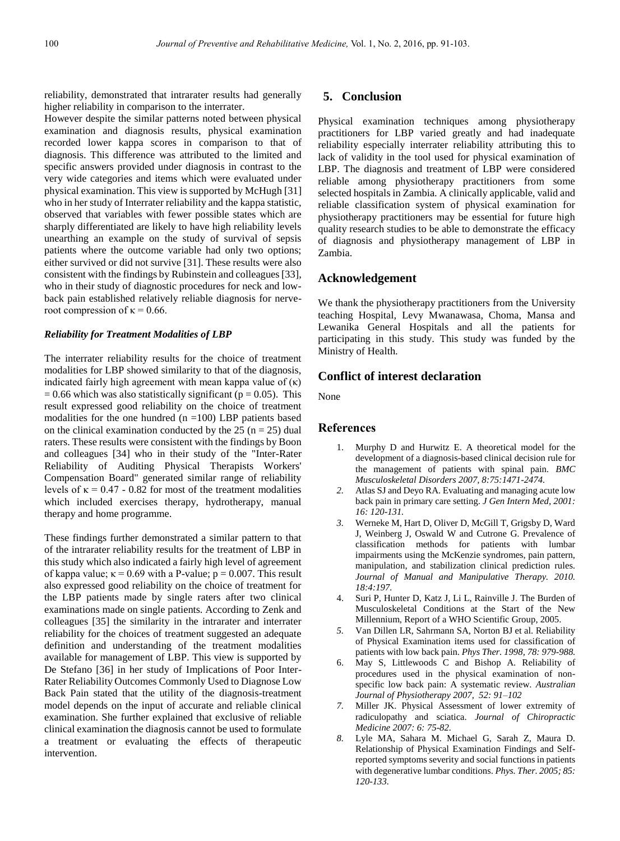reliability, demonstrated that intrarater results had generally higher reliability in comparison to the interrater.

However despite the similar patterns noted between physical examination and diagnosis results, physical examination recorded lower kappa scores in comparison to that of diagnosis. This difference was attributed to the limited and specific answers provided under diagnosis in contrast to the very wide categories and items which were evaluated under physical examination. This view is supported by McHugh [31] who in her study of Interrater reliability and the kappa statistic, observed that variables with fewer possible states which are sharply differentiated are likely to have high reliability levels unearthing an example on the study of survival of sepsis patients where the outcome variable had only two options; either survived or did not survive [31]. These results were also consistent with the findings by Rubinstein and colleagues [33], who in their study of diagnostic procedures for neck and lowback pain established relatively reliable diagnosis for nerveroot compression of  $\kappa = 0.66$ .

#### *Reliability for Treatment Modalities of LBP*

The interrater reliability results for the choice of treatment modalities for LBP showed similarity to that of the diagnosis, indicated fairly high agreement with mean kappa value of  $(\kappa)$  $= 0.66$  which was also statistically significant ( $p = 0.05$ ). This result expressed good reliability on the choice of treatment modalities for the one hundred  $(n = 100)$  LBP patients based on the clinical examination conducted by the 25 ( $n = 25$ ) dual raters. These results were consistent with the findings by Boon and colleagues [34] who in their study of the "Inter-Rater Reliability of Auditing Physical Therapists Workers' Compensation Board" generated similar range of reliability levels of  $\kappa = 0.47 - 0.82$  for most of the treatment modalities which included exercises therapy, hydrotherapy, manual therapy and home programme.

These findings further demonstrated a similar pattern to that of the intrarater reliability results for the treatment of LBP in this study which also indicated a fairly high level of agreement of kappa value;  $\kappa = 0.69$  with a P-value;  $p = 0.007$ . This result also expressed good reliability on the choice of treatment for the LBP patients made by single raters after two clinical examinations made on single patients. According to Zenk and colleagues [35] the similarity in the intrarater and interrater reliability for the choices of treatment suggested an adequate definition and understanding of the treatment modalities available for management of LBP. This view is supported by De Stefano [36] in her study of Implications of Poor Inter-Rater Reliability Outcomes Commonly Used to Diagnose Low Back Pain stated that the utility of the diagnosis-treatment model depends on the input of accurate and reliable clinical examination. She further explained that exclusive of reliable clinical examination the diagnosis cannot be used to formulate a treatment or evaluating the effects of therapeutic intervention.

## **5. Conclusion**

Physical examination techniques among physiotherapy practitioners for LBP varied greatly and had inadequate reliability especially interrater reliability attributing this to lack of validity in the tool used for physical examination of LBP. The diagnosis and treatment of LBP were considered reliable among physiotherapy practitioners from some selected hospitals in Zambia. A clinically applicable, valid and reliable classification system of physical examination for physiotherapy practitioners may be essential for future high quality research studies to be able to demonstrate the efficacy of diagnosis and physiotherapy management of LBP in Zambia.

## **Acknowledgement**

We thank the physiotherapy practitioners from the University teaching Hospital, Levy Mwanawasa, Choma, Mansa and Lewanika General Hospitals and all the patients for participating in this study. This study was funded by the Ministry of Health.

## **Conflict of interest declaration**

None

#### **References**

- 1. Murphy D and Hurwitz E. A theoretical model for the development of a diagnosis-based clinical decision rule for the management of patients with spinal pain. *BMC Musculoskeletal Disorders 2007, 8:75:1471-2474.*
- *2.* Atlas SJ and Deyo RA. Evaluating and managing acute low back pain in primary care setting. *J Gen Intern Med, 2001: 16: 120-131.*
- *3.* Werneke M, Hart D, Oliver D, McGill T, Grigsby D, Ward J, Weinberg J, Oswald W and Cutrone G. Prevalence of classification methods for patients with lumbar impairments using the McKenzie syndromes, pain pattern, manipulation, and stabilization clinical prediction rules. *Journal of Manual and Manipulative Therapy. 2010. 18:4:197.*
- 4. Suri P, Hunter D, Katz J, Li L, Rainville J. The Burden of Musculoskeletal Conditions at the Start of the New Millennium, Report of a WHO Scientific Group, 2005.
- *5.* Van Dillen LR, Sahrmann SA, Norton BJ et al. Reliability of Physical Examination items used for classification of patients with low back pain. *Phys Ther. 1998, 78: 979-988.*
- 6. May S, Littlewoods C and Bishop A. Reliability of procedures used in the physical examination of nonspecific low back pain: A systematic review. *Australian Journal of Physiotherapy 2007, 52: 91–102*
- *7.* Miller JK. Physical Assessment of lower extremity of radiculopathy and sciatica. *Journal of Chiropractic Medicine 2007: 6: 75-82.*
- *8.* Lyle MA, Sahara M. Michael G, Sarah Z, Maura D. Relationship of Physical Examination Findings and Selfreported symptoms severity and social functions in patients with degenerative lumbar conditions. *Phys. Ther. 2005; 85: 120-133.*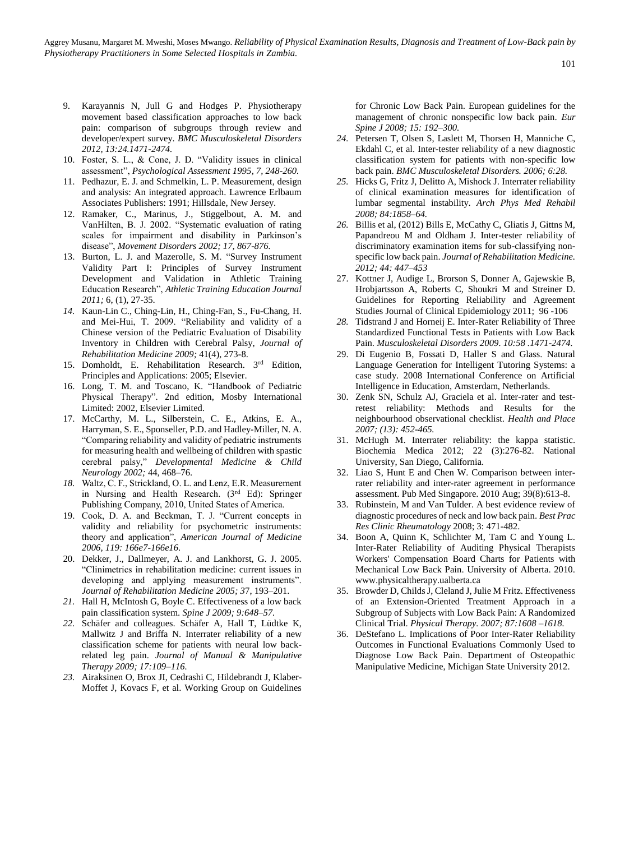Aggrey Musanu, Margaret M. Mweshi, Moses Mwango. *Reliability of Physical Examination Results, Diagnosis and Treatment of Low-Back pain by Physiotherapy Practitioners in Some Selected Hospitals in Zambia.*

- 9. Karayannis N, Jull G and Hodges P. Physiotherapy movement based classification approaches to low back pain: comparison of subgroups through review and developer/expert survey. *BMC Musculoskeletal Disorders 2012, 13:24.1471-2474.*
- 10. Foster, S. L., & Cone, J. D. "Validity issues in clinical assessment", *Psychological Assessment 1995, 7, 248-260.*
- 11. Pedhazur, E. J. and Schmelkin, L. P. Measurement, design and analysis: An integrated approach. Lawrence Erlbaum Associates Publishers: 1991; Hillsdale, New Jersey.
- 12. Ramaker, C., Marinus, J., Stiggelbout, A. M. and VanHilten, B. J. 2002. "Systematic evaluation of rating scales for impairment and disability in Parkinson's disease", *Movement Disorders 2002; 17, 867-876.*
- 13. Burton, L. J. and Mazerolle, S. M. "Survey Instrument Validity Part I: Principles of Survey Instrument Development and Validation in Athletic Training Education Research", *Athletic Training Education Journal 2011;* 6, (1), 27-35.
- *14.* Kaun-Lin C., Ching-Lin, H., Ching-Fan, S., Fu-Chang, H. and Mei-Hui, T. 2009. "Reliability and validity of a Chinese version of the Pediatric Evaluation of Disability Inventory in Children with Cerebral Palsy, *Journal of Rehabilitation Medicine 2009;* 41(4), 273-8.
- 15. Domholdt, E. Rehabilitation Research. 3rd Edition, Principles and Applications: 2005; Elsevier.
- 16. Long, T. M. and Toscano, K. "Handbook of Pediatric Physical Therapy". 2nd edition, Mosby International Limited: 2002, Elsevier Limited.
- 17. McCarthy, M. L., Silberstein, C. E., Atkins, E. A., Harryman, S. E., Sponseller, P.D. and Hadley-Miller, N. A. "Comparing reliability and validity of pediatric instruments for measuring health and wellbeing of children with spastic cerebral palsy," *Developmental Medicine & Child Neurology 2002;* 44, 468–76.
- *18.* Waltz, C. F., Strickland, O. L. and Lenz, E.R. Measurement in Nursing and Health Research. (3<sup>rd</sup> Ed): Springer Publishing Company, 2010, United States of America.
- 19. Cook, D. A. and Beckman, T. J. "Current concepts in validity and reliability for psychometric instruments: theory and application", *American Journal of Medicine 2006, 119: 166e7-166e16.*
- 20. Dekker, J., Dallmeyer, A. J. and Lankhorst, G. J. 2005. "Clinimetrics in rehabilitation medicine: current issues in developing and applying measurement instruments". *Journal of Rehabilitation Medicine 2005; 3*7, 193–201.
- *21.* Hall H, McIntosh G, Boyle C. Effectiveness of a low back pain classification system. *Spine J 2009; 9:648–57.*
- *22.* Schäfer and colleagues. Schäfer A, Hall T, Lüdtke K, Mallwitz J and Briffa N. Interrater reliability of a new classification scheme for patients with neural low backrelated leg pain. *Journal of Manual & Manipulative Therapy 2009; 17:109–116.*
- *23.* Airaksinen O, Brox JI, Cedrashi C, Hildebrandt J, Klaber-Moffet J, Kovacs F, et al. Working Group on Guidelines

for Chronic Low Back Pain. European guidelines for the management of chronic nonspecific low back pain. *Eur Spine J 2008; 15: 192–300.*

- *24.* Petersen T, Olsen S, Laslett M, Thorsen H, Manniche C, Ekdahl C, et al. Inter-tester reliability of a new diagnostic classification system for patients with non-specific low back pain. *BMC Musculoskeletal Disorders. 2006; 6:28.*
- *25.* Hicks G, Fritz J, Delitto A, Mishock J. Interrater reliability of clinical examination measures for identification of lumbar segmental instability. *Arch Phys Med Rehabil 2008; 84:1858–64.*
- *26.* Billis et al, (2012) Bills E, McCathy C, Gliatis J, Gittns M, Papandreou M and Oldham J. Inter-tester reliability of discriminatory examination items for sub-classifying nonspecific low back pain. *Journal of Rehabilitation Medicine. 2012; 44: 447–453*
- 27. Kottner J, Audige L, Brorson S, Donner A, Gajewskie B, Hrobjartsson A, Roberts C, Shoukri M and Streiner D. Guidelines for Reporting Reliability and Agreement Studies Journal of Clinical Epidemiology 2011; 96 -106
- *28.* Tidstrand J and Horneij E. Inter-Rater Reliability of Three Standardized Functional Tests in Patients with Low Back Pain. *Musculoskeletal Disorders 2009. 10:58 .1471-2474.*
- 29. Di Eugenio B, Fossati D, Haller S and Glass. Natural Language Generation for Intelligent Tutoring Systems: a case study. 2008 International Conference on Artificial Intelligence in Education, Amsterdam, Netherlands.
- 30. Zenk SN, Schulz AJ, Graciela et al. Inter-rater and testretest reliability: Methods and Results for the neighbourhood observational checklist. *Health and Place 2007; (13): 452-465.*
- 31. McHugh M. Interrater reliability: the kappa statistic. Biochemia Medica 2012; 22 (3):276-82. National University, San Diego, California.
- 32. Liao S, Hunt E and Chen W. Comparison between interrater reliability and inter-rater agreement in performance assessment. Pub Med Singapore. 2010 Aug; 39(8):613-8.
- 33. Rubinstein, M and Van Tulder. A best evidence review of diagnostic procedures of neck and low back pain. *Best Prac Res Clinic Rheumatology* 2008; 3: 471-482.
- 34. Boon A, Quinn K, Schlichter M, Tam C and Young L. Inter-Rater Reliability of Auditing Physical Therapists Workers' Compensation Board Charts for Patients with Mechanical Low Back Pain. University of Alberta. 2010. [www.physicaltherapy.ualberta.ca](http://www.physicaltherapy.ualberta.ca/)
- 35. Browder D, Childs J, Cleland J, Julie M Fritz. Effectiveness of an Extension-Oriented Treatment Approach in a Subgroup of Subjects with Low Back Pain: A Randomized Clinical Trial. *Physical Therapy. 2007; 87:1608 –1618.*
- 36. DeStefano L. Implications of Poor Inter-Rater Reliability Outcomes in Functional Evaluations Commonly Used to Diagnose Low Back Pain. Department of Osteopathic Manipulative Medicine, Michigan State University 2012.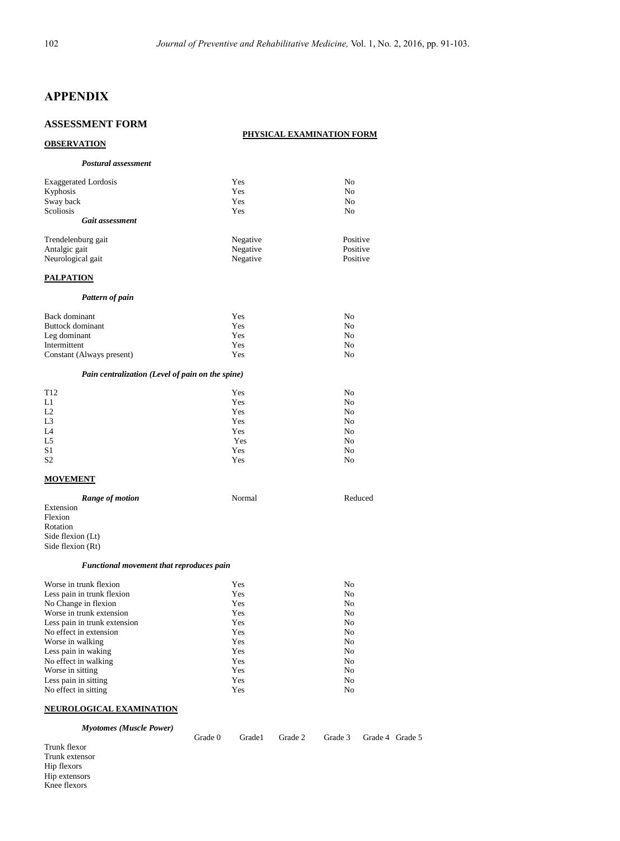## **APPENDIX**

## **ASSESSMENT FORM**

#### **PHYSICAL EXAMINATION FORM**

Grade 0 Grade1 Grade 2 Grade 3 Grade 4 Grade 5

| <b>OBSERVATION</b>                               |            |                      |
|--------------------------------------------------|------------|----------------------|
| Postural assessment                              |            |                      |
| <b>Exaggerated Lordosis</b>                      | Yes        | No                   |
| Kyphosis                                         | Yes        | N <sub>0</sub>       |
| Sway back                                        | Yes        | N <sub>o</sub>       |
| Scoliosis                                        | Yes        | N <sub>o</sub>       |
| <b>Gait assessment</b>                           |            |                      |
| Trendelenburg gait                               | Negative   | Positive             |
| Antalgic gait                                    | Negative   | Positive             |
| Neurological gait                                | Negative   | Positive             |
| <b>PALPATION</b>                                 |            |                      |
| Pattern of pain                                  |            |                      |
| Back dominant                                    | Yes        | N <sub>0</sub>       |
| <b>Buttock</b> dominant                          | Yes        | N <sub>o</sub>       |
| Leg dominant                                     | Yes        | No                   |
| Intermittent                                     | Yes        | N <sub>0</sub>       |
| Constant (Always present)                        | Yes        | N <sub>o</sub>       |
| Pain centralization (Level of pain on the spine) |            |                      |
| T <sub>12</sub>                                  | Yes        | N <sub>o</sub>       |
| L1                                               | Yes        | N <sub>o</sub>       |
| L2                                               | Yes        | N <sub>0</sub>       |
| L <sub>3</sub>                                   | <b>Yes</b> | N <sub>0</sub>       |
| L <sub>4</sub>                                   | Yes        | N <sub>0</sub>       |
| L5<br>S <sub>1</sub>                             | Yes<br>Yes | N <sub>0</sub><br>No |
| S <sub>2</sub>                                   | Yes        | N <sub>o</sub>       |
| <b>MOVEMENT</b>                                  |            |                      |
| Range of motion                                  | Normal     | Reduced              |
| Extension                                        |            |                      |
| Flexion                                          |            |                      |
| Rotation                                         |            |                      |
| Side flexion (Lt)                                |            |                      |
| Side flexion (Rt)                                |            |                      |
| Functional movement that reproduces pain         |            |                      |
| Worse in trunk flexion                           | Yes        | No.                  |

| Worse in trunk flexion       | Yes | No |
|------------------------------|-----|----|
| Less pain in trunk flexion   | Yes | No |
| No Change in flexion         | Yes | No |
| Worse in trunk extension     | Yes | No |
| Less pain in trunk extension | Yes | No |
| No effect in extension       | Yes | No |
| Worse in walking             | Yes | No |
| Less pain in waking          | Yes | No |
| No effect in walking         | Yes | No |
| Worse in sitting             | Yes | No |
| Less pain in sitting         | Yes | No |
| No effect in sitting         | Yes | No |

## **NEUROLOGICAL EXAMINATION**

*Myotomes (Muscle Power)*

Trunk flexor Trunk extensor Hip flexors Hip extensors Knee flexors